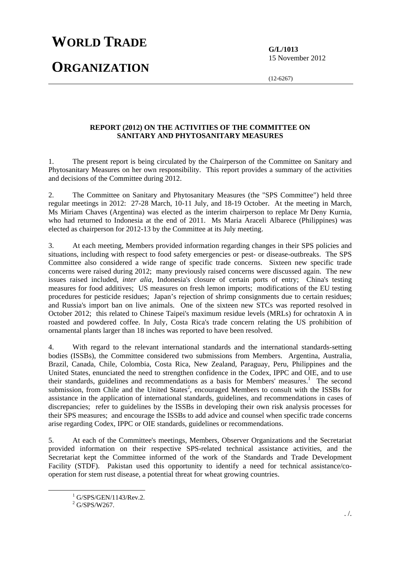## **WORLD TRADE**

**ORGANIZATION**

**G/L/1013**  15 November 2012

(12-6267)

## **REPORT (2012) ON THE ACTIVITIES OF THE COMMITTEE ON SANITARY AND PHYTOSANITARY MEASURES**

1. The present report is being circulated by the Chairperson of the Committee on Sanitary and Phytosanitary Measures on her own responsibility. This report provides a summary of the activities and decisions of the Committee during 2012.

2. The Committee on Sanitary and Phytosanitary Measures (the "SPS Committee") held three regular meetings in 2012: 27-28 March, 10-11 July, and 18-19 October. At the meeting in March, Ms Miriam Chaves (Argentina) was elected as the interim chairperson to replace Mr Deny Kurnia, who had returned to Indonesia at the end of 2011. Ms Maria Araceli Albarece (Philippines) was elected as chairperson for 2012-13 by the Committee at its July meeting.

3. At each meeting, Members provided information regarding changes in their SPS policies and situations, including with respect to food safety emergencies or pest- or disease-outbreaks. The SPS Committee also considered a wide range of specific trade concerns. Sixteen new specific trade concerns were raised during 2012; many previously raised concerns were discussed again. The new issues raised included, *inter alia*, Indonesia's closure of certain ports of entry; China's testing measures for food additives; US measures on fresh lemon imports; modifications of the EU testing procedures for pesticide residues; Japan's rejection of shrimp consignments due to certain residues; and Russia's import ban on live animals. One of the sixteen new STCs was reported resolved in October 2012; this related to Chinese Taipei's maximum residue levels (MRLs) for ochratoxin A in roasted and powdered coffee. In July, Costa Rica's trade concern relating the US prohibition of ornamental plants larger than 18 inches was reported to have been resolved.

4. With regard to the relevant international standards and the international standards-setting bodies (ISSBs), the Committee considered two submissions from Members. Argentina, Australia, Brazil, Canada, Chile, Colombia, Costa Rica, New Zealand, Paraguay, Peru, Philippines and the United States, enunciated the need to strengthen confidence in the Codex, IPPC and OIE, and to use their standards, guidelines and recommendations as a basis for Members' measures.<sup>1</sup> The second submission, from Chile and the United States<sup>2</sup>, encouraged Members to consult with the ISSBs for assistance in the application of international standards, guidelines, and recommendations in cases of discrepancies; refer to guidelines by the ISSBs in developing their own risk analysis processes for their SPS measures; and encourage the ISSBs to add advice and counsel when specific trade concerns arise regarding Codex, IPPC or OIE standards, guidelines or recommendations.

5. At each of the Committee's meetings, Members, Observer Organizations and the Secretariat provided information on their respective SPS-related technical assistance activities, and the Secretariat kept the Committee informed of the work of the Standards and Trade Development Facility (STDF). Pakistan used this opportunity to identify a need for technical assistance/cooperation for stem rust disease, a potential threat for wheat growing countries.

<sup>&</sup>lt;u>1</u>  $^{1}$  G/SPS/GEN/1143/Rev.2.

 $2$  G/SPS/W267.